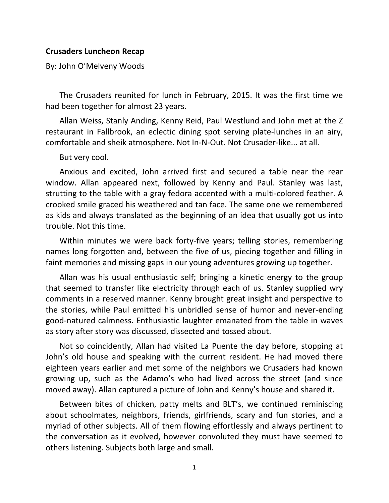## **Crusaders Luncheon Recap**

By: John O'Melveny Woods

The Crusaders reunited for lunch in February, 2015. It was the first time we had been together for almost 23 years.

Allan Weiss, Stanly Anding, Kenny Reid, Paul Westlund and John met at the Z restaurant in Fallbrook, an eclectic dining spot serving plate‐lunches in an airy, comfortable and sheik atmosphere. Not In‐N‐Out. Not Crusader‐like... at all.

But very cool.

Anxious and excited, John arrived first and secured a table near the rear window. Allan appeared next, followed by Kenny and Paul. Stanley was last, strutting to the table with a gray fedora accented with a multi‐colored feather. A crooked smile graced his weathered and tan face. The same one we remembered as kids and always translated as the beginning of an idea that usually got us into trouble. Not this time.

Within minutes we were back forty-five years; telling stories, remembering names long forgotten and, between the five of us, piecing together and filling in faint memories and missing gaps in our young adventures growing up together.

Allan was his usual enthusiastic self; bringing a kinetic energy to the group that seemed to transfer like electricity through each of us. Stanley supplied wry comments in a reserved manner. Kenny brought great insight and perspective to the stories, while Paul emitted his unbridled sense of humor and never‐ending good‐natured calmness. Enthusiastic laughter emanated from the table in waves as story after story was discussed, dissected and tossed about.

Not so coincidently, Allan had visited La Puente the day before, stopping at John's old house and speaking with the current resident. He had moved there eighteen years earlier and met some of the neighbors we Crusaders had known growing up, such as the Adamo's who had lived across the street (and since moved away). Allan captured a picture of John and Kenny's house and shared it.

Between bites of chicken, patty melts and BLT's, we continued reminiscing about schoolmates, neighbors, friends, girlfriends, scary and fun stories, and a myriad of other subjects. All of them flowing effortlessly and always pertinent to the conversation as it evolved, however convoluted they must have seemed to others listening. Subjects both large and small.